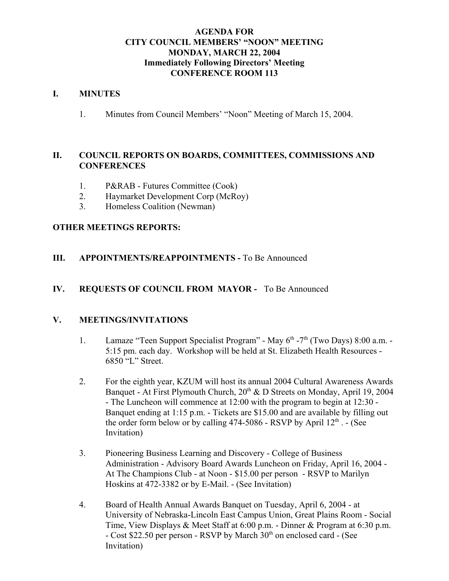#### **AGENDA FOR CITY COUNCIL MEMBERS' "NOON" MEETING MONDAY, MARCH 22, 2004 Immediately Following Directors' Meeting CONFERENCE ROOM 113**

#### **I. MINUTES**

1. Minutes from Council Members' "Noon" Meeting of March 15, 2004.

### **II. COUNCIL REPORTS ON BOARDS, COMMITTEES, COMMISSIONS AND CONFERENCES**

- 1. P&RAB Futures Committee (Cook)
- 2. Haymarket Development Corp (McRoy)
- 3. Homeless Coalition (Newman)

### **OTHER MEETINGS REPORTS:**

#### **III.** APPOINTMENTS/REAPPOINTMENTS - To Be Announced

#### **IV. REQUESTS OF COUNCIL FROM MAYOR -** To Be Announced

#### **V. MEETINGS/INVITATIONS**

- 1. Lamaze "Teen Support Specialist Program" May  $6<sup>th</sup>$ -7<sup>th</sup> (Two Days) 8:00 a.m. -5:15 pm. each day. Workshop will be held at St. Elizabeth Health Resources - 6850 "L" Street.
- 2. For the eighth year, KZUM will host its annual 2004 Cultural Awareness Awards Banquet - At First Plymouth Church,  $20<sup>th</sup>$  & D Streets on Monday, April 19, 2004 - The Luncheon will commence at 12:00 with the program to begin at 12:30 - Banquet ending at 1:15 p.m. - Tickets are \$15.00 and are available by filling out the order form below or by calling  $474-5086$  - RSVP by April  $12<sup>th</sup>$ . - (See Invitation)
- 3. Pioneering Business Learning and Discovery College of Business Administration - Advisory Board Awards Luncheon on Friday, April 16, 2004 - At The Champions Club - at Noon - \$15.00 per person - RSVP to Marilyn Hoskins at 472-3382 or by E-Mail. - (See Invitation)
- 4. Board of Health Annual Awards Banquet on Tuesday, April 6, 2004 at University of Nebraska-Lincoln East Campus Union, Great Plains Room - Social Time, View Displays & Meet Staff at 6:00 p.m. - Dinner & Program at 6:30 p.m. - Cost \$22.50 per person - RSVP by March 30<sup>th</sup> on enclosed card - (See Invitation)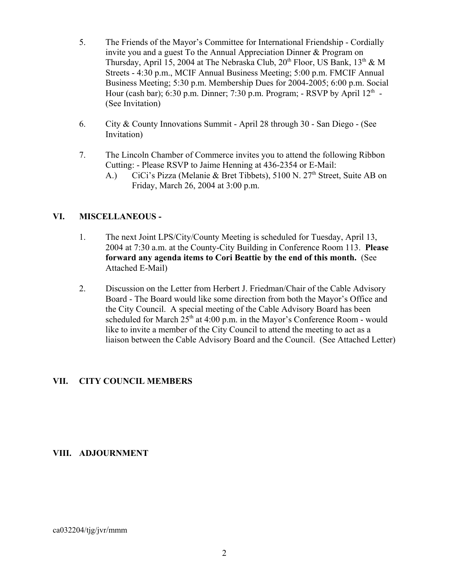- 5. The Friends of the Mayor's Committee for International Friendship Cordially invite you and a guest To the Annual Appreciation Dinner & Program on Thursday, April 15, 2004 at The Nebraska Club,  $20^{th}$  Floor, US Bank,  $13^{th} \& M$ Streets - 4:30 p.m., MCIF Annual Business Meeting; 5:00 p.m. FMCIF Annual Business Meeting; 5:30 p.m. Membership Dues for 2004-2005; 6:00 p.m. Social Hour (cash bar); 6:30 p.m. Dinner; 7:30 p.m. Program; - RSVP by April  $12<sup>th</sup>$  -(See Invitation)
- 6. City & County Innovations Summit April 28 through 30 San Diego (See Invitation)
- 7. The Lincoln Chamber of Commerce invites you to attend the following Ribbon Cutting: - Please RSVP to Jaime Henning at 436-2354 or E-Mail:
	- A.) CiCi's Pizza (Melanie & Bret Tibbets), 5100 N. 27<sup>th</sup> Street, Suite AB on Friday, March 26, 2004 at 3:00 p.m.

# **VI. MISCELLANEOUS -**

- 1. The next Joint LPS/City/County Meeting is scheduled for Tuesday, April 13, 2004 at 7:30 a.m. at the County-City Building in Conference Room 113. **Please forward any agenda items to Cori Beattie by the end of this month.** (See Attached E-Mail)
- 2. Discussion on the Letter from Herbert J. Friedman/Chair of the Cable Advisory Board - The Board would like some direction from both the Mayor's Office and the City Council. A special meeting of the Cable Advisory Board has been scheduled for March  $25<sup>th</sup>$  at 4:00 p.m. in the Mayor's Conference Room - would like to invite a member of the City Council to attend the meeting to act as a liaison between the Cable Advisory Board and the Council. (See Attached Letter)

### **VII. CITY COUNCIL MEMBERS**

### **VIII. ADJOURNMENT**

#### $ca032204/tjg/jvr/mm$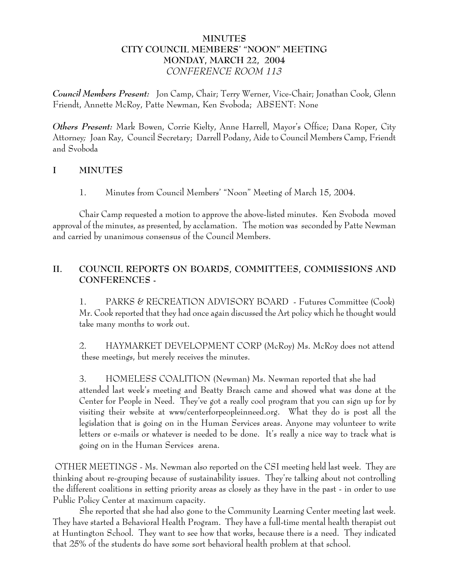# **MINUTES CITY COUNCIL MEMBERS' "NOON" MEETING MONDAY, MARCH 22, 2004** *CONFERENCE ROOM 113*

*Council Members Present:* Jon Camp, Chair; Terry Werner, Vice-Chair; Jonathan Cook, Glenn Friendt, Annette McRoy, Patte Newman, Ken Svoboda; ABSENT: None

*Others Present:* Mark Bowen, Corrie Kielty, Anne Harrell, Mayor's Office; Dana Roper, City Attorney*;* Joan Ray, Council Secretary; Darrell Podany, Aide to Council Members Camp, Friendt and Svoboda

# **I MINUTES**

1. Minutes from Council Members' "Noon" Meeting of March 15, 2004.

Chair Camp requested a motion to approve the above-listed minutes. Ken Svoboda moved approval of the minutes, as presented, by acclamation. The motion was seconded by Patte Newman and carried by unanimous consensus of the Council Members.

# **II. COUNCIL REPORTS ON BOARDS, COMMITTEES, COMMISSIONS AND CONFERENCES -**

1. PARKS & RECREATION ADVISORY BOARD - Futures Committee (Cook) Mr. Cook reported that they had once again discussed the Art policy which he thought would take many months to work out.

2. HAYMARKET DEVELOPMENT CORP (McRoy) Ms. McRoy does not attend these meetings, but merely receives the minutes.

3. HOMELESS COALITION (Newman) Ms. Newman reported that she had attended last week's meeting and Beatty Brasch came and showed what was done at the Center for People in Need. They've got a really cool program that you can sign up for by visiting their website at www/centerforpeopleinneed.org. What they do is post all the legislation that is going on in the Human Services areas. Anyone may volunteer to write letters or e-mails or whatever is needed to be done. It's really a nice way to track what is going on in the Human Services arena.

 OTHER MEETINGS - Ms. Newman also reported on the CSI meeting held last week. They are thinking about re-grouping because of sustainability issues. They're talking about not controlling the different coalitions in setting priority areas as closely as they have in the past - in order to use Public Policy Center at maximum capacity.

She reported that she had also gone to the Community Learning Center meeting last week. They have started a Behavioral Health Program. They have a full-time mental health therapist out at Huntington School. They want to see how that works, because there is a need. They indicated that 25% of the students do have some sort behavioral health problem at that school.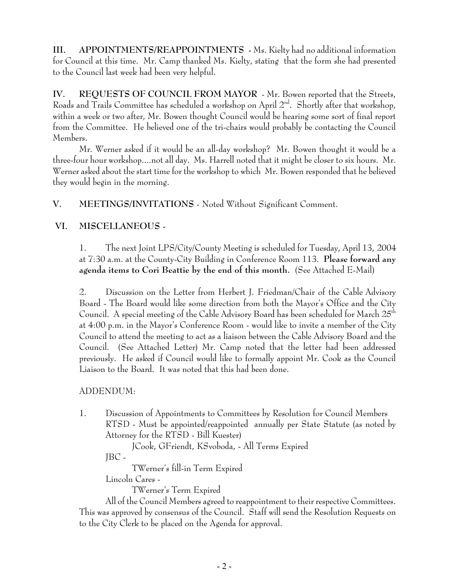**III. APPOINTMENTS/REAPPOINTMENTS -** Ms. Kielty had no additional information for Council at this time. Mr. Camp thanked Ms. Kielty, stating that the form she had presented to the Council last week had been very helpful.

**IV. REQUESTS OF COUNCIL FROM MAYOR** - Mr. Bowen reported that the Streets, Roads and Trails Committee has scheduled a workshop on April  $2<sup>nd</sup>$ . Shortly after that workshop, within a week or two after, Mr. Bowen thought Council would be hearing some sort of final report from the Committee. He believed one of the tri-chairs would probably be contacting the Council Members.

Mr. Werner asked if it would be an all-day workshop? Mr. Bowen thought it would be a three-four hour workshop....not all day. Ms. Harrell noted that it might be closer to six hours. Mr. Werner asked about the start time for the workshop to which Mr. Bowen responded that he believed they would begin in the morning.

**V. MEETINGS/INVITATIONS** - Noted Without Significant Comment.

# **VI. MISCELLANEOUS -**

1. The next Joint LPS/City/County Meeting is scheduled for Tuesday, April 13, 2004 at 7:30 a.m. at the County-City Building in Conference Room 113. **Please forward any agenda items to Cori Beattie by the end of this month.** (See Attached E-Mail)

2. Discussion on the Letter from Herbert J. Friedman/Chair of the Cable Advisory Board - The Board would like some direction from both the Mayor's Office and the City Council. A special meeting of the Cable Advisory Board has been scheduled for March  $25<sup>th</sup>$ at 4:00 p.m. in the Mayor's Conference Room - would like to invite a member of the City Council to attend the meeting to act as a liaison between the Cable Advisory Board and the Council. (See Attached Letter) Mr. Camp noted that the letter had been addressed previously. He asked if Council would like to formally appoint Mr. Cook as the Council Liaison to the Board. It was noted that this had been done.

# ADDENDUM:

1. Discussion of Appointments to Committees by Resolution for Council Members RTSD - Must be appointed/reappointed annually per State Statute (as noted by Attorney for the RTSD - Bill Kuester)

JCook, GFriendt, KSvoboda, - All Terms Expired

JBC -

TWerner's fill-in Term Expired

Lincoln Cares -

TWerner's Term Expired

All of the Council Members agreed to reappointment to their respective Committees. This was approved by consensus of the Council. Staff will send the Resolution Requests on to the City Clerk to be placed on the Agenda for approval.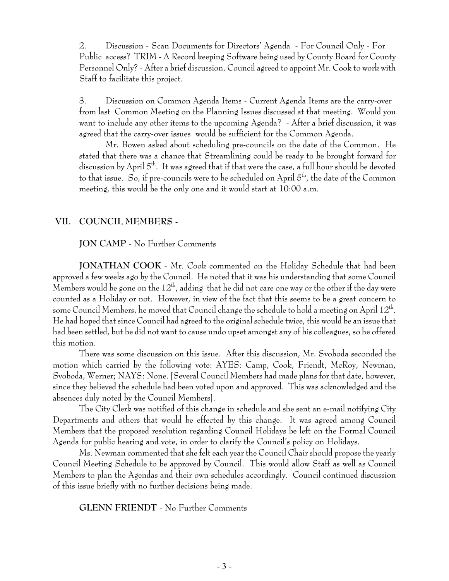2. Discussion - Scan Documents for Directors' Agenda - For Council Only - For Public access? TRIM - A Record keeping Software being used by County Board for County Personnel Only? - After a brief discussion, Council agreed to appoint Mr. Cook to work with Staff to facilitate this project.

3. Discussion on Common Agenda Items - Current Agenda Items are the carry-over from last Common Meeting on the Planning Issues discussed at that meeting. Would you want to include any other items to the upcoming Agenda? - After a brief discussion, it was agreed that the carry-over issues would be sufficient for the Common Agenda.

Mr. Bowen asked about scheduling pre-councils on the date of the Common. He stated that there was a chance that Streamlining could be ready to be brought forward for discussion by April  $5<sup>th</sup>$ . It was agreed that if that were the case, a full hour should be devoted to that issue. So, if pre-councils were to be scheduled on April  $5<sup>th</sup>$ , the date of the Common meeting, this would be the only one and it would start at 10:00 a.m.

### **VII. COUNCIL MEMBERS -**

#### **JON CAMP** - No Further Comments

**JONATHAN COOK** - Mr. Cook commented on the Holiday Schedule that had been approved a few weeks ago by the Council. He noted that it was his understanding that some Council Members would be gone on the  $12<sup>th</sup>$ , adding that he did not care one way or the other if the day were counted as a Holiday or not. However, in view of the fact that this seems to be a great concern to some Council Members, he moved that Council change the schedule to hold a meeting on April  $12^{th}$ . He had hoped that since Council had agreed to the original schedule twice, this would be an issue that had been settled, but he did not want to cause undo upset amongst any of his colleagues, so he offered this motion.

There was some discussion on this issue. After this discussion, Mr. Svoboda seconded the motion which carried by the following vote: AYES: Camp, Cook, Friendt, McRoy, Newman, Svoboda, Werner; NAYS: None. [Several Council Members had made plans for that date, however, since they believed the schedule had been voted upon and approved. This was acknowledged and the absences duly noted by the Council Members].

The City Clerk was notified of this change in schedule and she sent an e-mail notifying City Departments and others that would be effected by this change. It was agreed among Council Members that the proposed resolution regarding Council Holidays be left on the Formal Council Agenda for public hearing and vote, in order to clarify the Council's policy on Holidays.

Ms. Newman commented that she felt each year the Council Chair should propose the yearly Council Meeting Schedule to be approved by Council. This would allow Staff as well as Council Members to plan the Agendas and their own schedules accordingly. Council continued discussion of this issue briefly with no further decisions being made.

**GLENN FRIENDT** - No Further Comments